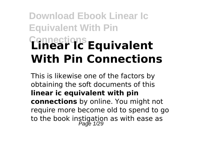# **Download Ebook Linear Ic Equivalent With Pin Connections Linear Ic Equivalent With Pin Connections**

This is likewise one of the factors by obtaining the soft documents of this **linear ic equivalent with pin connections** by online. You might not require more become old to spend to go to the book instigation as with ease as<br>Page 1/29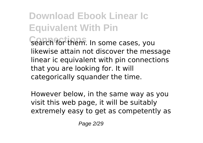**Download Ebook Linear Ic Equivalent With Pin** Search for them. In some cases, you likewise attain not discover the message linear ic equivalent with pin connections that you are looking for. It will categorically squander the time.

However below, in the same way as you visit this web page, it will be suitably extremely easy to get as competently as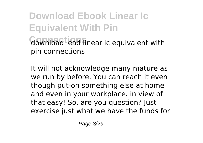**Download Ebook Linear Ic Equivalent With Pin Connections** download lead linear ic equivalent with pin connections

It will not acknowledge many mature as we run by before. You can reach it even though put-on something else at home and even in your workplace. in view of that easy! So, are you question? Just exercise just what we have the funds for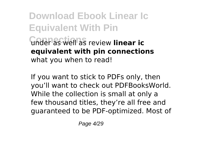**Download Ebook Linear Ic Equivalent With Pin Connections** under as well as review **linear ic equivalent with pin connections** what you when to read!

If you want to stick to PDFs only, then you'll want to check out PDFBooksWorld. While the collection is small at only a few thousand titles, they're all free and guaranteed to be PDF-optimized. Most of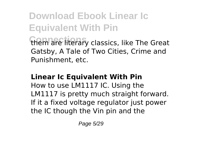**Download Ebook Linear Ic Equivalent With Pin** them are literary classics, like The Great Gatsby, A Tale of Two Cities, Crime and Punishment, etc.

#### **Linear Ic Equivalent With Pin**

How to use LM1117 IC. Using the LM1117 is pretty much straight forward. If it a fixed voltage regulator just power the IC though the Vin pin and the

Page 5/29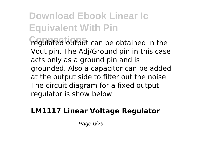**Connections** regulated output can be obtained in the Vout pin. The Adj/Ground pin in this case acts only as a ground pin and is grounded. Also a capacitor can be added at the output side to filter out the noise. The circuit diagram for a fixed output regulator is show below

#### **LM1117 Linear Voltage Regulator**

Page 6/29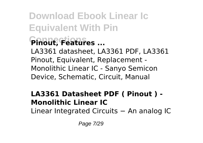**Download Ebook Linear Ic Equivalent With Pin Connections Pinout, Features ...** LA3361 datasheet, LA3361 PDF, LA3361 Pinout, Equivalent, Replacement - Monolithic Linear IC - Sanyo Semicon Device, Schematic, Circuit, Manual

#### **LA3361 Datasheet PDF ( Pinout ) - Monolithic Linear IC**

Linear Integrated Circuits − An analog IC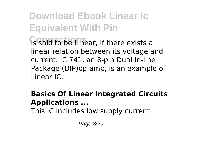**Download Ebook Linear Ic Equivalent With Pin Connections** is said to be Linear, if there exists a linear relation between its voltage and current. IC 741, an 8-pin Dual In-line Package (DIP)op-amp, is an example of Linear IC.

#### **Basics Of Linear Integrated Circuits Applications ...**

This IC includes low supply current

Page 8/29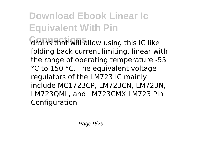**Connections** drains that will allow using this IC like folding back current limiting, linear with the range of operating temperature -55 °C to 150 °C. The equivalent voltage regulators of the LM723 IC mainly include MC1723CP, LM723CN, LM723N, LM723QML, and LM723CMX LM723 Pin Configuration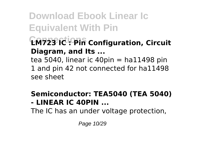**Download Ebook Linear Ic Equivalent With Pin Connections LM723 IC : Pin Configuration, Circuit Diagram, and Its ...** tea 5040, linear ic 40pin  $=$  ha11498 pin 1 and pin 42 not connected for ha11498

see sheet

#### **Semiconductor: TEA5040 (TEA 5040) - LINEAR IC 40PIN ...**

The IC has an under voltage protection,

Page 10/29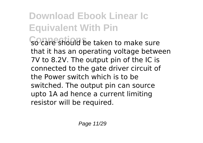**Download Ebook Linear Ic Equivalent With Pin Connections** so care should be taken to make sure that it has an operating voltage between 7V to 8.2V. The output pin of the IC is connected to the gate driver circuit of the Power switch which is to be switched. The output pin can source upto 1A ad hence a current limiting resistor will be required.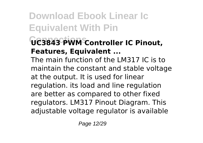### **Connections UC3843 PWM Controller IC Pinout, Features, Equivalent ...**

The main function of the LM317 IC is to maintain the constant and stable voltage at the output. It is used for linear regulation. its load and line regulation are better as compared to other fixed regulators. LM317 Pinout Diagram. This adjustable voltage regulator is available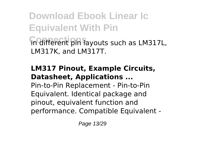**Download Ebook Linear Ic Equivalent With Pin Connections** in different pin layouts such as LM317L, LM317K, and LM317T.

#### **LM317 Pinout, Example Circuits, Datasheet, Applications ...**

Pin-to-Pin Replacement - Pin-to-Pin Equivalent. Identical package and pinout, equivalent function and performance. Compatible Equivalent -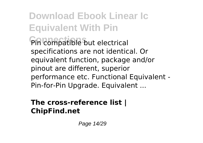**Download Ebook Linear Ic Equivalent With Pin Connections** Pin compatible but electrical specifications are not identical. Or equivalent function, package and/or pinout are different, superior performance etc. Functional Equivalent - Pin-for-Pin Upgrade. Equivalent ...

#### **The cross-reference list | ChipFind.net**

Page 14/29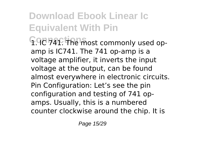**Download Ebook Linear Ic Equivalent With Pin Connections** 1. IC 741. The most commonly used opamp is IC741. The 741 op-amp is a voltage amplifier, it inverts the input voltage at the output, can be found almost everywhere in electronic circuits. Pin Configuration: Let's see the pin configuration and testing of 741 opamps. Usually, this is a numbered counter clockwise around the chip. It is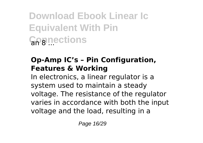**Download Ebook Linear Ic Equivalent With Pin Gognections** 

#### **Op-Amp IC's – Pin Configuration, Features & Working**

In electronics, a linear regulator is a system used to maintain a steady voltage. The resistance of the regulator varies in accordance with both the input voltage and the load, resulting in a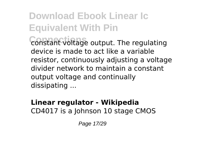**Download Ebook Linear Ic Equivalent With Pin** constant voltage output. The regulating device is made to act like a variable resistor, continuously adjusting a voltage divider network to maintain a constant output voltage and continually dissipating ...

#### **Linear regulator - Wikipedia** CD4017 is a Johnson 10 stage CMOS

Page 17/29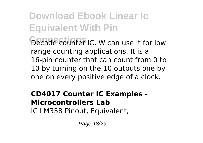**Download Ebook Linear Ic Equivalent With Pin** Decade counter IC. W can use it for low range counting applications. It is a 16-pin counter that can count from 0 to 10 by turning on the 10 outputs one by one on every positive edge of a clock.

#### **CD4017 Counter IC Examples - Microcontrollers Lab** IC LM358 Pinout, Equivalent,

Page 18/29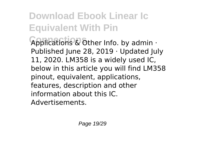**Connections** Applications & Other Info. by admin · Published June 28, 2019 · Updated July 11, 2020. LM358 is a widely used IC, below in this article you will find LM358 pinout, equivalent, applications, features, description and other information about this IC. Advertisements.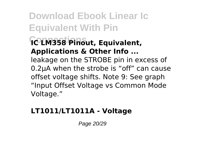**Download Ebook Linear Ic Equivalent With Pin Connections IC LM358 Pinout, Equivalent, Applications & Other Info ...** leakage on the STROBE pin in excess of 0.2µA when the strobe is "off" can cause offset voltage shifts. Note 9: See graph "Input Offset Voltage vs Common Mode Voltage."

#### **LT1011/LT1011A - Voltage**

Page 20/29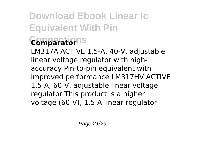### **Download Ebook Linear Ic Equivalent With Pin Connections Comparator**

LM317A ACTIVE 1.5-A, 40-V, adjustable linear voltage regulator with highaccuracy Pin-to-pin equivalent with improved performance LM317HV ACTIVE 1.5-A, 60-V, adjustable linear voltage regulator This product is a higher voltage (60-V), 1.5-A linear regulator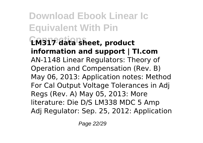**Download Ebook Linear Ic Equivalent With Pin Connections LM317 data sheet, product information and support | TI.com** AN-1148 Linear Regulators: Theory of Operation and Compensation (Rev. B) May 06, 2013: Application notes: Method For Cal Output Voltage Tolerances in Adj Regs (Rev. A) May 05, 2013: More literature: Die D/S LM338 MDC 5 Amp Adj Regulator: Sep. 25, 2012: Application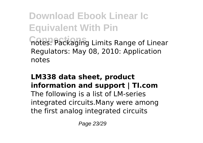**Download Ebook Linear Ic Equivalent With Pin Connections** notes: Packaging Limits Range of Linear Regulators: May 08, 2010: Application notes

#### **LM338 data sheet, product information and support | TI.com** The following is a list of LM-series integrated circuits.Many were among the first analog integrated circuits

Page 23/29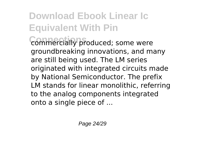commercially produced; some were groundbreaking innovations, and many are still being used. The LM series originated with integrated circuits made by National Semiconductor. The prefix LM stands for linear monolithic, referring to the analog components integrated onto a single piece of ...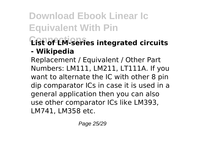#### **Connections List of LM-series integrated circuits - Wikipedia**

Replacement / Equivalent / Other Part Numbers: LM111, LM211, LT111A. If you want to alternate the IC with other 8 pin dip comparator ICs in case it is used in a general application then you can also use other comparator ICs like LM393, LM741, LM358 etc.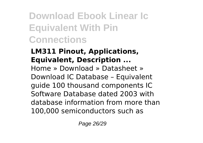**Download Ebook Linear Ic Equivalent With Pin Connections**

#### **LM311 Pinout, Applications, Equivalent, Description ...**

Home » Download » Datasheet » Download IC Database – Equivalent guide 100 thousand components IC Software Database dated 2003 with database information from more than 100,000 semiconductors such as

Page 26/29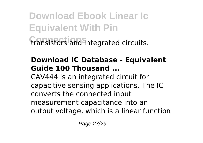**Download Ebook Linear Ic Equivalent With Pin Connections** transistors and integrated circuits.

#### **Download IC Database - Equivalent Guide 100 Thousand ...**

CAV444 is an integrated circuit for capacitive sensing applications. The IC converts the connected input measurement capacitance into an output voltage, which is a linear function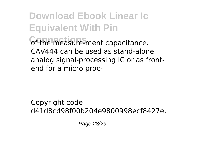**Download Ebook Linear Ic Equivalent With Pin Connections** of the measure-ment capacitance. CAV444 can be used as stand-alone analog signal-processing IC or as frontend for a micro proc-

Copyright code: d41d8cd98f00b204e9800998ecf8427e.

Page 28/29